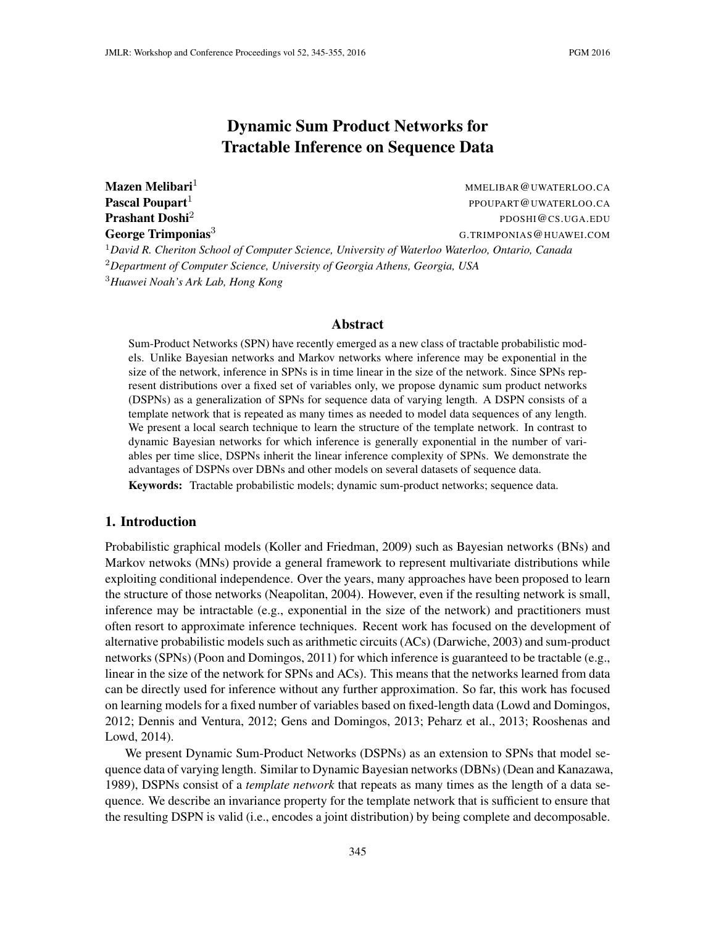# Dynamic Sum Product Networks for Tractable Inference on Sequence Data

Mazen Melibari<sup>1</sup> Mazen Melibari<sup>1</sup> MMELIBAR @UWATERLOO.CA Pascal Poupart<sup>1</sup> PPOUPART@UWATERLOO.CA Prashant Doshi<sup>2</sup> PDOSHI@CS.UGA.EDU **George Trimponias<sup>3</sup>** G.TRIMPONIAS @HUAWEI.COM <sup>1</sup>*David R. Cheriton School of Computer Science, University of Waterloo Waterloo, Ontario, Canada* <sup>2</sup>*Department of Computer Science, University of Georgia Athens, Georgia, USA* <sup>3</sup>*Huawei Noah's Ark Lab, Hong Kong*

#### Abstract

Sum-Product Networks (SPN) have recently emerged as a new class of tractable probabilistic models. Unlike Bayesian networks and Markov networks where inference may be exponential in the size of the network, inference in SPNs is in time linear in the size of the network. Since SPNs represent distributions over a fixed set of variables only, we propose dynamic sum product networks (DSPNs) as a generalization of SPNs for sequence data of varying length. A DSPN consists of a template network that is repeated as many times as needed to model data sequences of any length. We present a local search technique to learn the structure of the template network. In contrast to dynamic Bayesian networks for which inference is generally exponential in the number of variables per time slice, DSPNs inherit the linear inference complexity of SPNs. We demonstrate the advantages of DSPNs over DBNs and other models on several datasets of sequence data.

Keywords: Tractable probabilistic models; dynamic sum-product networks; sequence data.

### 1. Introduction

Probabilistic graphical models (Koller and Friedman, 2009) such as Bayesian networks (BNs) and Markov netwoks (MNs) provide a general framework to represent multivariate distributions while exploiting conditional independence. Over the years, many approaches have been proposed to learn the structure of those networks (Neapolitan, 2004). However, even if the resulting network is small, inference may be intractable (e.g., exponential in the size of the network) and practitioners must often resort to approximate inference techniques. Recent work has focused on the development of alternative probabilistic models such as arithmetic circuits (ACs) (Darwiche, 2003) and sum-product networks (SPNs) (Poon and Domingos, 2011) for which inference is guaranteed to be tractable (e.g., linear in the size of the network for SPNs and ACs). This means that the networks learned from data can be directly used for inference without any further approximation. So far, this work has focused on learning models for a fixed number of variables based on fixed-length data (Lowd and Domingos, 2012; Dennis and Ventura, 2012; Gens and Domingos, 2013; Peharz et al., 2013; Rooshenas and Lowd, 2014).

We present Dynamic Sum-Product Networks (DSPNs) as an extension to SPNs that model sequence data of varying length. Similar to Dynamic Bayesian networks (DBNs) (Dean and Kanazawa, 1989), DSPNs consist of a *template network* that repeats as many times as the length of a data sequence. We describe an invariance property for the template network that is sufficient to ensure that the resulting DSPN is valid (i.e., encodes a joint distribution) by being complete and decomposable.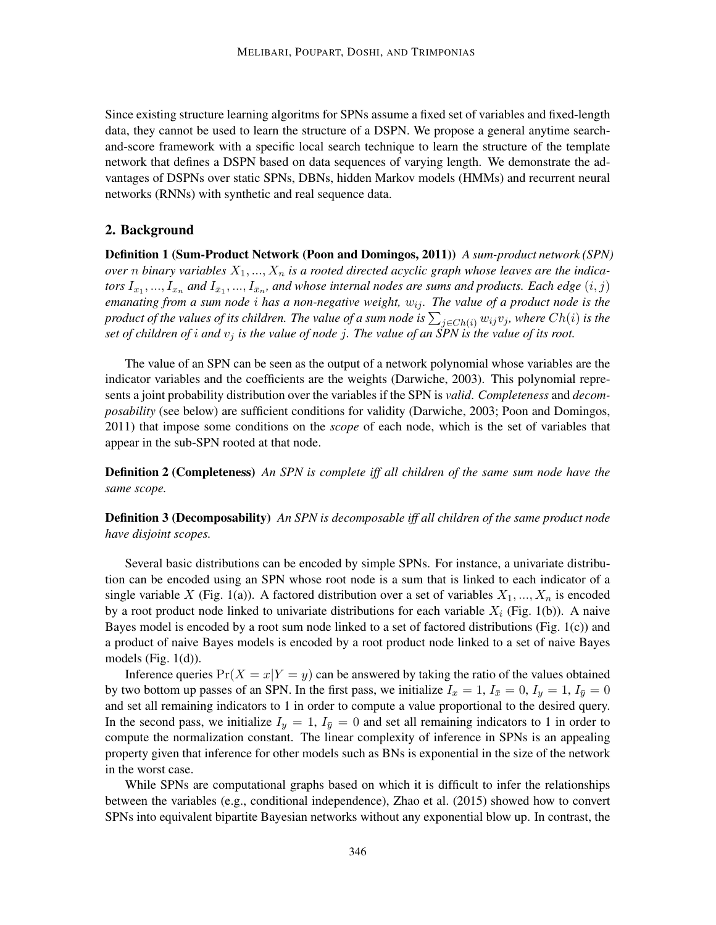Since existing structure learning algoritms for SPNs assume a fixed set of variables and fixed-length data, they cannot be used to learn the structure of a DSPN. We propose a general anytime searchand-score framework with a specific local search technique to learn the structure of the template network that defines a DSPN based on data sequences of varying length. We demonstrate the advantages of DSPNs over static SPNs, DBNs, hidden Markov models (HMMs) and recurrent neural networks (RNNs) with synthetic and real sequence data.

### 2. Background

Definition 1 (Sum-Product Network (Poon and Domingos, 2011)) *A sum-product network (SPN) over n binary variables*  $X_1, ..., X_n$  *is a rooted directed acyclic graph whose leaves are the indica*tors  $I_{x_1},...,I_{x_n}$  and  $I_{\bar x_1},...,I_{\bar x_n}$ , and whose internal nodes are sums and products. Each edge  $(i,j)$ *emanating from a sum node i has a non-negative weight,*  $w_{ij}$ *. The value of a product node is the* product of the values of its children. The value of a sum node is  $\sum_{j\in Ch(i)}w_{ij}v_j$ , where  $Ch(i)$  is the *set of children of i and*  $v_j$  *is the value of node j. The value of an SPN is the value of its root.* 

The value of an SPN can be seen as the output of a network polynomial whose variables are the indicator variables and the coefficients are the weights (Darwiche, 2003). This polynomial represents a joint probability distribution over the variables if the SPN is *valid*. *Completeness* and *decomposability* (see below) are sufficient conditions for validity (Darwiche, 2003; Poon and Domingos, 2011) that impose some conditions on the *scope* of each node, which is the set of variables that appear in the sub-SPN rooted at that node.

Definition 2 (Completeness) *An SPN is complete iff all children of the same sum node have the same scope.*

Definition 3 (Decomposability) *An SPN is decomposable iff all children of the same product node have disjoint scopes.*

Several basic distributions can be encoded by simple SPNs. For instance, a univariate distribution can be encoded using an SPN whose root node is a sum that is linked to each indicator of a single variable X (Fig. 1(a)). A factored distribution over a set of variables  $X_1, ..., X_n$  is encoded by a root product node linked to univariate distributions for each variable  $X_i$  (Fig. 1(b)). A naive Bayes model is encoded by a root sum node linked to a set of factored distributions (Fig. 1(c)) and a product of naive Bayes models is encoded by a root product node linked to a set of naive Bayes models (Fig.  $1(d)$ ).

Inference queries  $Pr(X = x | Y = y)$  can be answered by taking the ratio of the values obtained by two bottom up passes of an SPN. In the first pass, we initialize  $I_x = 1$ ,  $I_{\bar{x}} = 0$ ,  $I_y = 1$ ,  $I_{\bar{y}} = 0$ and set all remaining indicators to 1 in order to compute a value proportional to the desired query. In the second pass, we initialize  $I_y = 1$ ,  $I_{\bar{y}} = 0$  and set all remaining indicators to 1 in order to compute the normalization constant. The linear complexity of inference in SPNs is an appealing property given that inference for other models such as BNs is exponential in the size of the network in the worst case.

While SPNs are computational graphs based on which it is difficult to infer the relationships between the variables (e.g., conditional independence), Zhao et al. (2015) showed how to convert SPNs into equivalent bipartite Bayesian networks without any exponential blow up. In contrast, the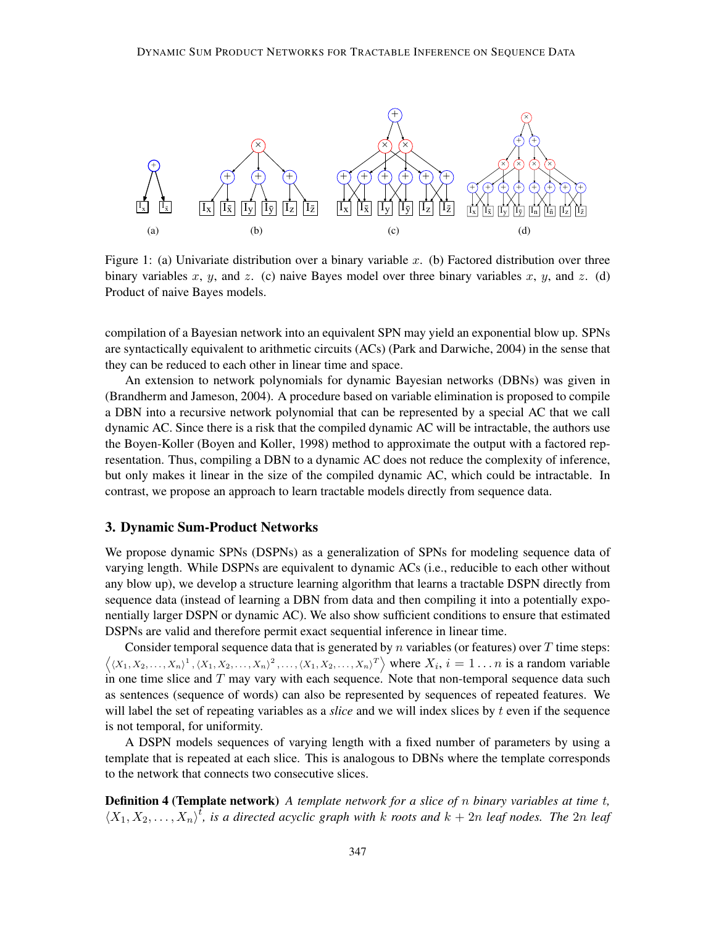

Figure 1: (a) Univariate distribution over a binary variable  $x$ . (b) Factored distribution over three binary variables x, y, and z. (c) naive Bayes model over three binary variables x, y, and z. (d) Product of naive Bayes models.

compilation of a Bayesian network into an equivalent SPN may yield an exponential blow up. SPNs are syntactically equivalent to arithmetic circuits (ACs) (Park and Darwiche, 2004) in the sense that they can be reduced to each other in linear time and space.

An extension to network polynomials for dynamic Bayesian networks (DBNs) was given in (Brandherm and Jameson, 2004). A procedure based on variable elimination is proposed to compile a DBN into a recursive network polynomial that can be represented by a special AC that we call dynamic AC. Since there is a risk that the compiled dynamic AC will be intractable, the authors use the Boyen-Koller (Boyen and Koller, 1998) method to approximate the output with a factored representation. Thus, compiling a DBN to a dynamic AC does not reduce the complexity of inference, but only makes it linear in the size of the compiled dynamic AC, which could be intractable. In contrast, we propose an approach to learn tractable models directly from sequence data.

### 3. Dynamic Sum-Product Networks

We propose dynamic SPNs (DSPNs) as a generalization of SPNs for modeling sequence data of varying length. While DSPNs are equivalent to dynamic ACs (i.e., reducible to each other without any blow up), we develop a structure learning algorithm that learns a tractable DSPN directly from sequence data (instead of learning a DBN from data and then compiling it into a potentially exponentially larger DSPN or dynamic AC). We also show sufficient conditions to ensure that estimated DSPNs are valid and therefore permit exact sequential inference in linear time.

Consider temporal sequence data that is generated by  $n$  variables (or features) over  $T$  time steps:  $\langle (X_1, X_2, \ldots, X_n)^1, (X_1, X_2, \ldots, X_n)^2, \ldots, (X_1, X_2, \ldots, X_n)^T \rangle$  where  $X_i, i = 1 \ldots n$  is a random variable in one time slice and  $T$  may vary with each sequence. Note that non-temporal sequence data such as sentences (sequence of words) can also be represented by sequences of repeated features. We will label the set of repeating variables as a *slice* and we will index slices by t even if the sequence is not temporal, for uniformity.

A DSPN models sequences of varying length with a fixed number of parameters by using a template that is repeated at each slice. This is analogous to DBNs where the template corresponds to the network that connects two consecutive slices.

Definition 4 (Template network) *A template network for a slice of* n *binary variables at time* t*,*  $\langle X_1, X_2, \ldots, X_n \rangle^t$ , is a directed acyclic graph with k roots and  $k + 2n$  *leaf nodes. The* 2n *leaf*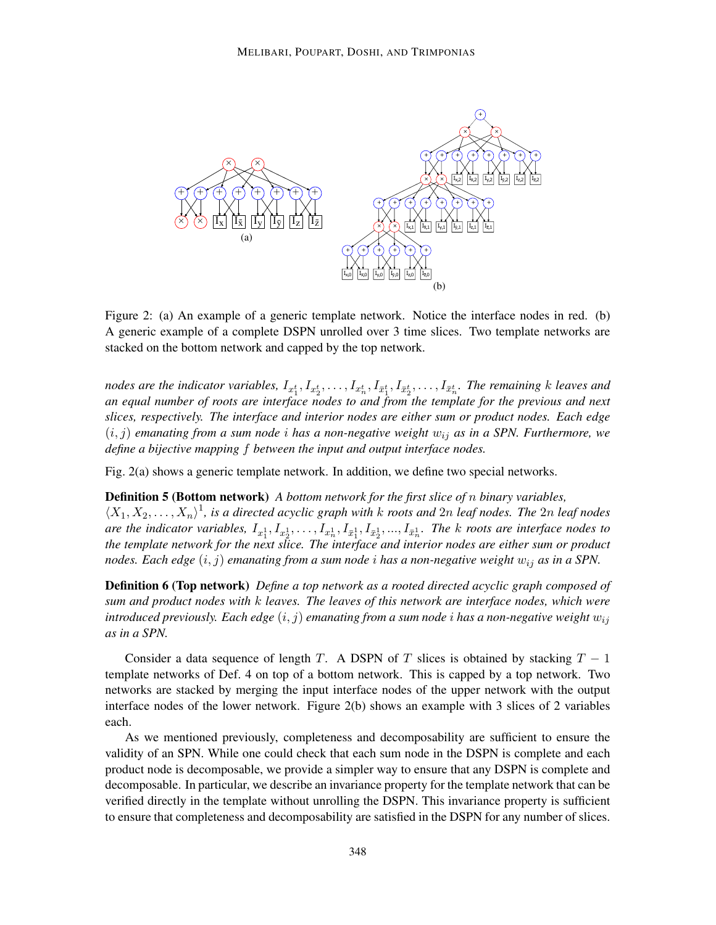

Figure 2: (a) An example of a generic template network. Notice the interface nodes in red. (b) A generic example of a complete DSPN unrolled over 3 time slices. Two template networks are stacked on the bottom network and capped by the top network.

nodes are the indicator variables,  $I_{x_1^t}, I_{x_2^t}, \ldots, I_{x_n^t}, I_{\bar{x}_1^t}, I_{\bar{x}_2^t}, \ldots, I_{\bar{x}_n^t}$ . The remaining *k* leaves and *an equal number of roots are interface nodes to and from the template for the previous and next slices, respectively. The interface and interior nodes are either sum or product nodes. Each edge* (i, j) *emanating from a sum node* i *has a non-negative weight* wij *as in a SPN. Furthermore, we define a bijective mapping* f *between the input and output interface nodes.*

Fig. 2(a) shows a generic template network. In addition, we define two special networks.

Definition 5 (Bottom network) *A bottom network for the first slice of* n *binary variables,*  $\langle X_1, X_2, \ldots, X_n \rangle$ <sup>1</sup>, is a directed acyclic graph with k roots and 2n *leaf nodes. The 2n leaf nodes* are the indicator variables,  $I_{x_1^1}, I_{x_2^1}, \ldots, I_{x_n^1}, I_{\bar{x}_1^1}, I_{\bar{x}_2^1}, \ldots, I_{\bar{x}_n^1}$ . The k roots are interface nodes to *the template network for the next slice. The interface and interior nodes are either sum or product nodes. Each edge* (i, j) *emanating from a sum node* i *has a non-negative weight* wij *as in a SPN.*

Definition 6 (Top network) *Define a top network as a rooted directed acyclic graph composed of sum and product nodes with* k *leaves. The leaves of this network are interface nodes, which were introduced previously. Each edge*  $(i, j)$  *emanating from a sum node i has a non-negative weight*  $w_{ij}$ *as in a SPN.*

Consider a data sequence of length T. A DSPN of T slices is obtained by stacking  $T - 1$ template networks of Def. 4 on top of a bottom network. This is capped by a top network. Two networks are stacked by merging the input interface nodes of the upper network with the output interface nodes of the lower network. Figure 2(b) shows an example with 3 slices of 2 variables each.

As we mentioned previously, completeness and decomposability are sufficient to ensure the validity of an SPN. While one could check that each sum node in the DSPN is complete and each product node is decomposable, we provide a simpler way to ensure that any DSPN is complete and decomposable. In particular, we describe an invariance property for the template network that can be verified directly in the template without unrolling the DSPN. This invariance property is sufficient to ensure that completeness and decomposability are satisfied in the DSPN for any number of slices.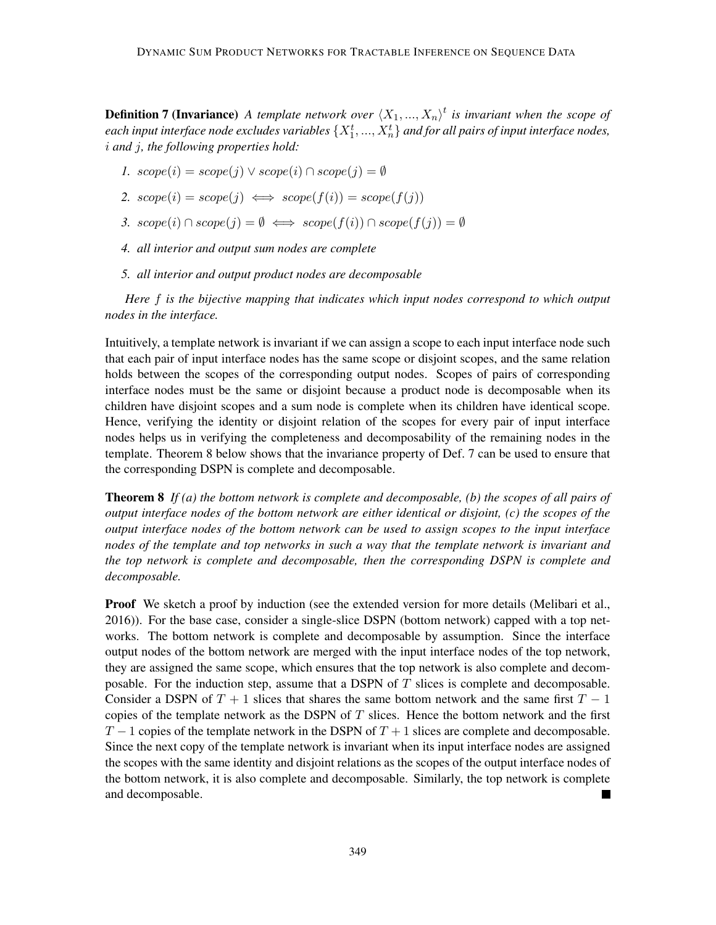**Definition 7 (Invariance)** A template network over  $\langle X_1, ..., X_n \rangle^t$  is invariant when the scope of each input interface node excludes variables  $\{X_1^t, ..., X_n^t\}$  and for all pairs of input interface nodes, i *and* j*, the following properties hold:*

- *1.*  $scope(i) = scope(j) \vee scope(i) \cap scope(j) = \emptyset$
- 2.  $scope(i) = scope(j) \iff scope(f(i)) = scope(f(j))$
- *3.*  $scope(i) \cap scope(j) = \emptyset \iff scope(f(i)) \cap scope(f(j)) = \emptyset$
- *4. all interior and output sum nodes are complete*
- *5. all interior and output product nodes are decomposable*

*Here* f *is the bijective mapping that indicates which input nodes correspond to which output nodes in the interface.*

Intuitively, a template network is invariant if we can assign a scope to each input interface node such that each pair of input interface nodes has the same scope or disjoint scopes, and the same relation holds between the scopes of the corresponding output nodes. Scopes of pairs of corresponding interface nodes must be the same or disjoint because a product node is decomposable when its children have disjoint scopes and a sum node is complete when its children have identical scope. Hence, verifying the identity or disjoint relation of the scopes for every pair of input interface nodes helps us in verifying the completeness and decomposability of the remaining nodes in the template. Theorem 8 below shows that the invariance property of Def. 7 can be used to ensure that the corresponding DSPN is complete and decomposable.

Theorem 8 *If (a) the bottom network is complete and decomposable, (b) the scopes of all pairs of output interface nodes of the bottom network are either identical or disjoint, (c) the scopes of the output interface nodes of the bottom network can be used to assign scopes to the input interface nodes of the template and top networks in such a way that the template network is invariant and the top network is complete and decomposable, then the corresponding DSPN is complete and decomposable.*

**Proof** We sketch a proof by induction (see the extended version for more details (Melibari et al., 2016)). For the base case, consider a single-slice DSPN (bottom network) capped with a top networks. The bottom network is complete and decomposable by assumption. Since the interface output nodes of the bottom network are merged with the input interface nodes of the top network, they are assigned the same scope, which ensures that the top network is also complete and decomposable. For the induction step, assume that a DSPN of  $T$  slices is complete and decomposable. Consider a DSPN of  $T + 1$  slices that shares the same bottom network and the same first  $T - 1$ copies of the template network as the DSPN of  $T$  slices. Hence the bottom network and the first  $T-1$  copies of the template network in the DSPN of  $T+1$  slices are complete and decomposable. Since the next copy of the template network is invariant when its input interface nodes are assigned the scopes with the same identity and disjoint relations as the scopes of the output interface nodes of the bottom network, it is also complete and decomposable. Similarly, the top network is complete and decomposable.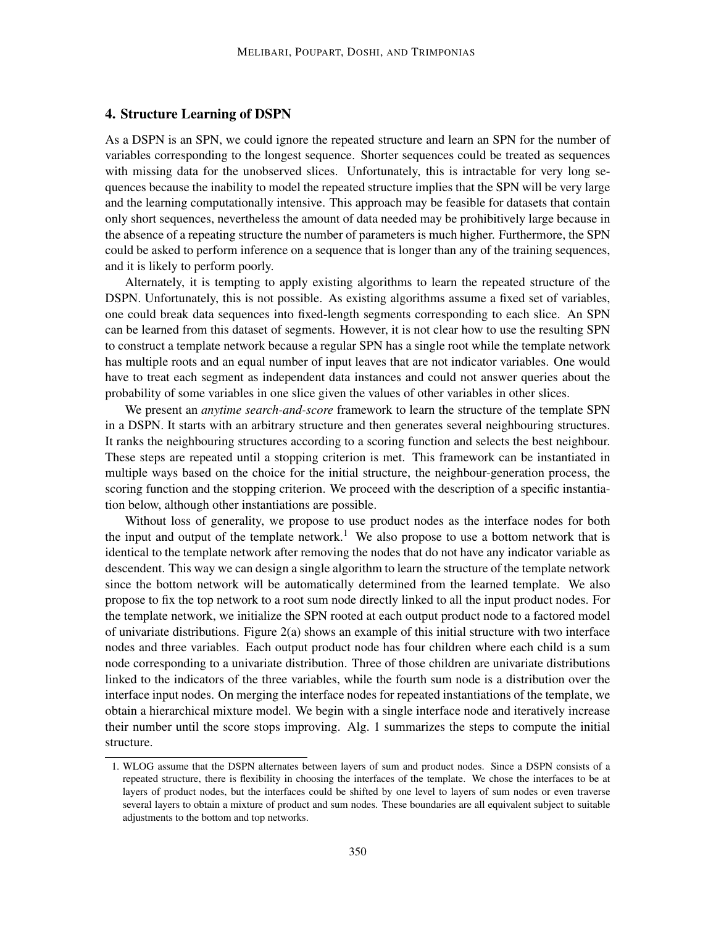### 4. Structure Learning of DSPN

As a DSPN is an SPN, we could ignore the repeated structure and learn an SPN for the number of variables corresponding to the longest sequence. Shorter sequences could be treated as sequences with missing data for the unobserved slices. Unfortunately, this is intractable for very long sequences because the inability to model the repeated structure implies that the SPN will be very large and the learning computationally intensive. This approach may be feasible for datasets that contain only short sequences, nevertheless the amount of data needed may be prohibitively large because in the absence of a repeating structure the number of parameters is much higher. Furthermore, the SPN could be asked to perform inference on a sequence that is longer than any of the training sequences, and it is likely to perform poorly.

Alternately, it is tempting to apply existing algorithms to learn the repeated structure of the DSPN. Unfortunately, this is not possible. As existing algorithms assume a fixed set of variables, one could break data sequences into fixed-length segments corresponding to each slice. An SPN can be learned from this dataset of segments. However, it is not clear how to use the resulting SPN to construct a template network because a regular SPN has a single root while the template network has multiple roots and an equal number of input leaves that are not indicator variables. One would have to treat each segment as independent data instances and could not answer queries about the probability of some variables in one slice given the values of other variables in other slices.

We present an *anytime search-and-score* framework to learn the structure of the template SPN in a DSPN. It starts with an arbitrary structure and then generates several neighbouring structures. It ranks the neighbouring structures according to a scoring function and selects the best neighbour. These steps are repeated until a stopping criterion is met. This framework can be instantiated in multiple ways based on the choice for the initial structure, the neighbour-generation process, the scoring function and the stopping criterion. We proceed with the description of a specific instantiation below, although other instantiations are possible.

Without loss of generality, we propose to use product nodes as the interface nodes for both the input and output of the template network.<sup>1</sup> We also propose to use a bottom network that is identical to the template network after removing the nodes that do not have any indicator variable as descendent. This way we can design a single algorithm to learn the structure of the template network since the bottom network will be automatically determined from the learned template. We also propose to fix the top network to a root sum node directly linked to all the input product nodes. For the template network, we initialize the SPN rooted at each output product node to a factored model of univariate distributions. Figure 2(a) shows an example of this initial structure with two interface nodes and three variables. Each output product node has four children where each child is a sum node corresponding to a univariate distribution. Three of those children are univariate distributions linked to the indicators of the three variables, while the fourth sum node is a distribution over the interface input nodes. On merging the interface nodes for repeated instantiations of the template, we obtain a hierarchical mixture model. We begin with a single interface node and iteratively increase their number until the score stops improving. Alg. 1 summarizes the steps to compute the initial structure.

<sup>1.</sup> WLOG assume that the DSPN alternates between layers of sum and product nodes. Since a DSPN consists of a repeated structure, there is flexibility in choosing the interfaces of the template. We chose the interfaces to be at layers of product nodes, but the interfaces could be shifted by one level to layers of sum nodes or even traverse several layers to obtain a mixture of product and sum nodes. These boundaries are all equivalent subject to suitable adjustments to the bottom and top networks.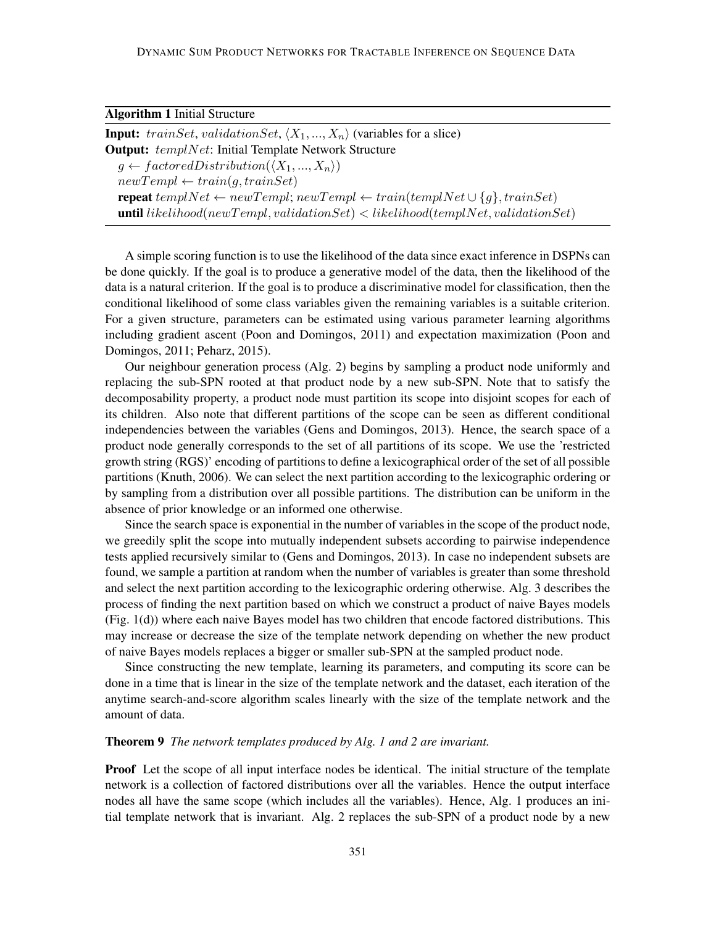| <b>Algorithm 1 Initial Structure</b> |  |  |  |
|--------------------------------------|--|--|--|
|--------------------------------------|--|--|--|

**Input:** trainSet, validationSet,  $\langle X_1, ..., X_n \rangle$  (variables for a slice) **Output:**  $tempNet$ : Initial Template Network Structure  $g \leftarrow \textit{factoredDistribution}(\langle X_1, ..., X_n \rangle)$  $newTempl \leftarrow train(g, trainSet)$ repeat templNet ← newTempl; newTempl ← train(templNet  $\cup$  {g}, trainSet) until  $likelihood(newTempl, validationSet) < likelihood(templNet, validationSet)$ 

A simple scoring function is to use the likelihood of the data since exact inference in DSPNs can be done quickly. If the goal is to produce a generative model of the data, then the likelihood of the data is a natural criterion. If the goal is to produce a discriminative model for classification, then the conditional likelihood of some class variables given the remaining variables is a suitable criterion. For a given structure, parameters can be estimated using various parameter learning algorithms including gradient ascent (Poon and Domingos, 2011) and expectation maximization (Poon and Domingos, 2011; Peharz, 2015).

Our neighbour generation process (Alg. 2) begins by sampling a product node uniformly and replacing the sub-SPN rooted at that product node by a new sub-SPN. Note that to satisfy the decomposability property, a product node must partition its scope into disjoint scopes for each of its children. Also note that different partitions of the scope can be seen as different conditional independencies between the variables (Gens and Domingos, 2013). Hence, the search space of a product node generally corresponds to the set of all partitions of its scope. We use the 'restricted growth string (RGS)' encoding of partitions to define a lexicographical order of the set of all possible partitions (Knuth, 2006). We can select the next partition according to the lexicographic ordering or by sampling from a distribution over all possible partitions. The distribution can be uniform in the absence of prior knowledge or an informed one otherwise.

Since the search space is exponential in the number of variables in the scope of the product node, we greedily split the scope into mutually independent subsets according to pairwise independence tests applied recursively similar to (Gens and Domingos, 2013). In case no independent subsets are found, we sample a partition at random when the number of variables is greater than some threshold and select the next partition according to the lexicographic ordering otherwise. Alg. 3 describes the process of finding the next partition based on which we construct a product of naive Bayes models (Fig. 1(d)) where each naive Bayes model has two children that encode factored distributions. This may increase or decrease the size of the template network depending on whether the new product of naive Bayes models replaces a bigger or smaller sub-SPN at the sampled product node.

Since constructing the new template, learning its parameters, and computing its score can be done in a time that is linear in the size of the template network and the dataset, each iteration of the anytime search-and-score algorithm scales linearly with the size of the template network and the amount of data.

#### Theorem 9 *The network templates produced by Alg. 1 and 2 are invariant.*

Proof Let the scope of all input interface nodes be identical. The initial structure of the template network is a collection of factored distributions over all the variables. Hence the output interface nodes all have the same scope (which includes all the variables). Hence, Alg. 1 produces an initial template network that is invariant. Alg. 2 replaces the sub-SPN of a product node by a new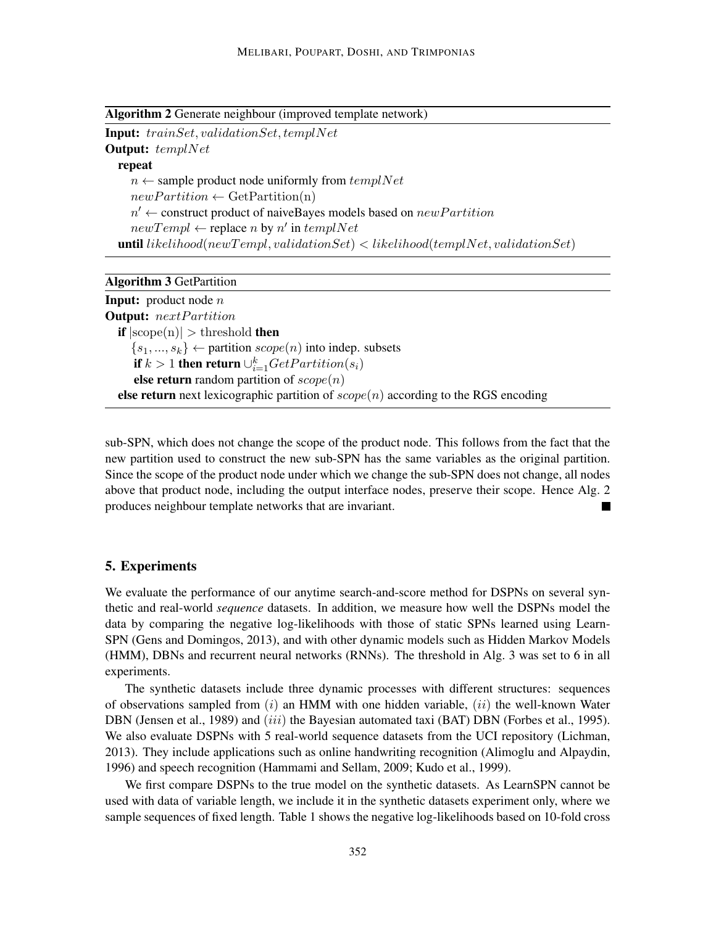Algorithm 2 Generate neighbour (improved template network)

Input: trainSet, validationSet, templNet

Output: templNet

repeat

```
n \leftarrow sample product node uniformly from tempNetnewPartition \leftarrow GetPartition(n)n' \leftarrow construct product of naiveBayes models based on newPartitionnewTempl \leftarrow replace n by n' in templNetuntil likelihood(newTempl, validationSet) < likelihood(templNet, validationSet)
```
Algorithm 3 GetPartition

| <b>Input:</b> product node $n$                                                              |  |
|---------------------------------------------------------------------------------------------|--|
| <b>Output:</b> nextPartition                                                                |  |
| <b>if</b> $ {\rm scope}(n)  >$ threshold <b>then</b>                                        |  |
| $\{s_1, , s_k\}$ $\leftarrow$ partition $scope(n)$ into indep. subsets                      |  |
| <b>if</b> $k > 1$ then return $\bigcup_{i=1}^{k} GetPartition(s_i)$                         |  |
| <b>else return</b> random partition of $scope(n)$                                           |  |
| <b>else return</b> next lexicographic partition of $scope(n)$ according to the RGS encoding |  |

sub-SPN, which does not change the scope of the product node. This follows from the fact that the new partition used to construct the new sub-SPN has the same variables as the original partition. Since the scope of the product node under which we change the sub-SPN does not change, all nodes above that product node, including the output interface nodes, preserve their scope. Hence Alg. 2 produces neighbour template networks that are invariant. a s

### 5. Experiments

We evaluate the performance of our anytime search-and-score method for DSPNs on several synthetic and real-world *sequence* datasets. In addition, we measure how well the DSPNs model the data by comparing the negative log-likelihoods with those of static SPNs learned using Learn-SPN (Gens and Domingos, 2013), and with other dynamic models such as Hidden Markov Models (HMM), DBNs and recurrent neural networks (RNNs). The threshold in Alg. 3 was set to 6 in all experiments.

The synthetic datasets include three dynamic processes with different structures: sequences of observations sampled from  $(i)$  an HMM with one hidden variable,  $(ii)$  the well-known Water DBN (Jensen et al., 1989) and *(iii)* the Bayesian automated taxi (BAT) DBN (Forbes et al., 1995). We also evaluate DSPNs with 5 real-world sequence datasets from the UCI repository (Lichman, 2013). They include applications such as online handwriting recognition (Alimoglu and Alpaydin, 1996) and speech recognition (Hammami and Sellam, 2009; Kudo et al., 1999).

We first compare DSPNs to the true model on the synthetic datasets. As LearnSPN cannot be used with data of variable length, we include it in the synthetic datasets experiment only, where we sample sequences of fixed length. Table 1 shows the negative log-likelihoods based on 10-fold cross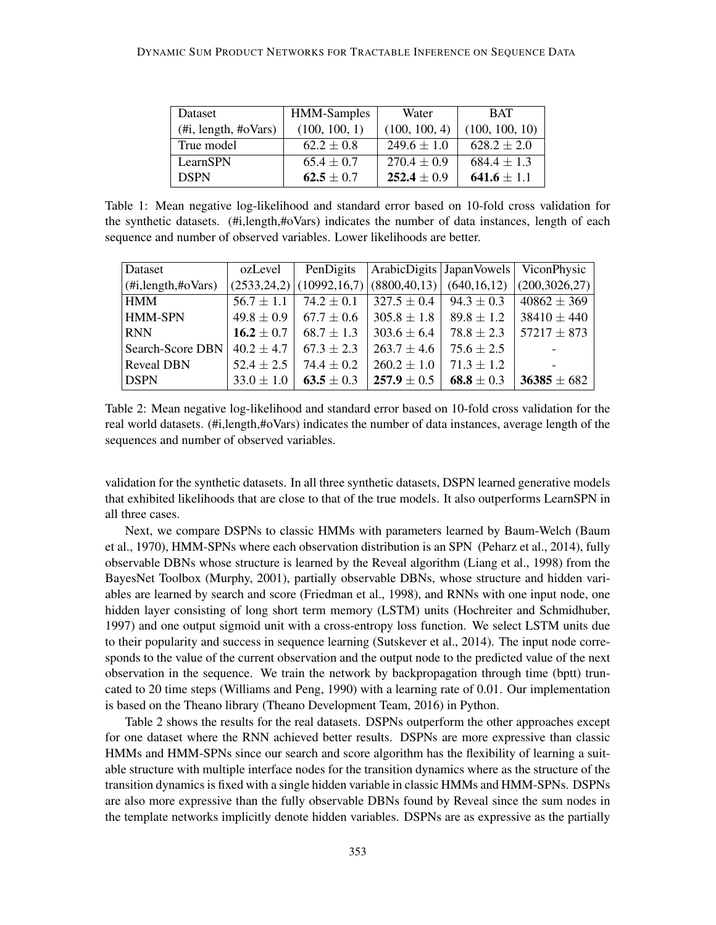| Dataset                  | <b>HMM-Samples</b> | Water           | <b>BAT</b>      |
|--------------------------|--------------------|-----------------|-----------------|
| $(\#i, length, \#oVars)$ | (100, 100, 1)      | (100, 100, 4)   | (100, 100, 10)  |
| True model               | $62.2 \pm 0.8$     | $249.6 \pm 1.0$ | $628.2 \pm 2.0$ |
| LearnSPN                 | $65.4 \pm 0.7$     | $270.4 \pm 0.9$ | $684.4 \pm 1.3$ |
| <b>DSPN</b>              | $62.5 \pm 0.7$     | $252.4 \pm 0.9$ | 641.6 $\pm$ 1.1 |

Table 1: Mean negative log-likelihood and standard error based on 10-fold cross validation for the synthetic datasets. (#i,length,#oVars) indicates the number of data instances, length of each sequence and number of observed variables. Lower likelihoods are better.

| Dataset              | ozLevel        | PenDigits      |                                         |                | ArabicDigits   Japan Vowels   ViconPhysic |
|----------------------|----------------|----------------|-----------------------------------------|----------------|-------------------------------------------|
| (Hi, length, #oVars) |                |                | $(2533,24,2)$ (10992,16,7) (8800,40,13) | (640, 16, 12)  | (200, 3026, 27)                           |
| HMM                  | $56.7 \pm 1.1$ | $74.2 \pm 0.1$ | $327.5 \pm 0.4$                         | $94.3 \pm 0.3$ | $40862 \pm 369$                           |
| <b>HMM-SPN</b>       | $49.8 \pm 0.9$ | $67.7 \pm 0.6$ | $305.8 \pm 1.8$                         | $89.8 \pm 1.2$ | $38410 \pm 440$                           |
| <b>RNN</b>           | 16.2 $\pm$ 0.7 | $68.7 \pm 1.3$ | $303.6 \pm 6.4$                         | $78.8 \pm 2.3$ | $57217 \pm 873$                           |
| Search-Score DBN     | $40.2 \pm 4.7$ | $67.3 \pm 2.3$ | $263.7 \pm 4.6$                         | $75.6 \pm 2.5$ |                                           |
| <b>Reveal DBN</b>    | $52.4 \pm 2.5$ | $74.4 \pm 0.2$ | $260.2 \pm 1.0$                         | $71.3 \pm 1.2$ |                                           |
| <b>DSPN</b>          | $33.0 \pm 1.0$ | $63.5 \pm 0.3$ | $257.9 \pm 0.5$                         | 68.8 $\pm$ 0.3 | $36385 \pm 682$                           |

Table 2: Mean negative log-likelihood and standard error based on 10-fold cross validation for the real world datasets. (#i,length,#oVars) indicates the number of data instances, average length of the sequences and number of observed variables.

validation for the synthetic datasets. In all three synthetic datasets, DSPN learned generative models that exhibited likelihoods that are close to that of the true models. It also outperforms LearnSPN in all three cases.

Next, we compare DSPNs to classic HMMs with parameters learned by Baum-Welch (Baum et al., 1970), HMM-SPNs where each observation distribution is an SPN (Peharz et al., 2014), fully observable DBNs whose structure is learned by the Reveal algorithm (Liang et al., 1998) from the BayesNet Toolbox (Murphy, 2001), partially observable DBNs, whose structure and hidden variables are learned by search and score (Friedman et al., 1998), and RNNs with one input node, one hidden layer consisting of long short term memory (LSTM) units (Hochreiter and Schmidhuber, 1997) and one output sigmoid unit with a cross-entropy loss function. We select LSTM units due to their popularity and success in sequence learning (Sutskever et al., 2014). The input node corresponds to the value of the current observation and the output node to the predicted value of the next observation in the sequence. We train the network by backpropagation through time (bptt) truncated to 20 time steps (Williams and Peng, 1990) with a learning rate of 0.01. Our implementation is based on the Theano library (Theano Development Team, 2016) in Python.

Table 2 shows the results for the real datasets. DSPNs outperform the other approaches except for one dataset where the RNN achieved better results. DSPNs are more expressive than classic HMMs and HMM-SPNs since our search and score algorithm has the flexibility of learning a suitable structure with multiple interface nodes for the transition dynamics where as the structure of the transition dynamics is fixed with a single hidden variable in classic HMMs and HMM-SPNs. DSPNs are also more expressive than the fully observable DBNs found by Reveal since the sum nodes in the template networks implicitly denote hidden variables. DSPNs are as expressive as the partially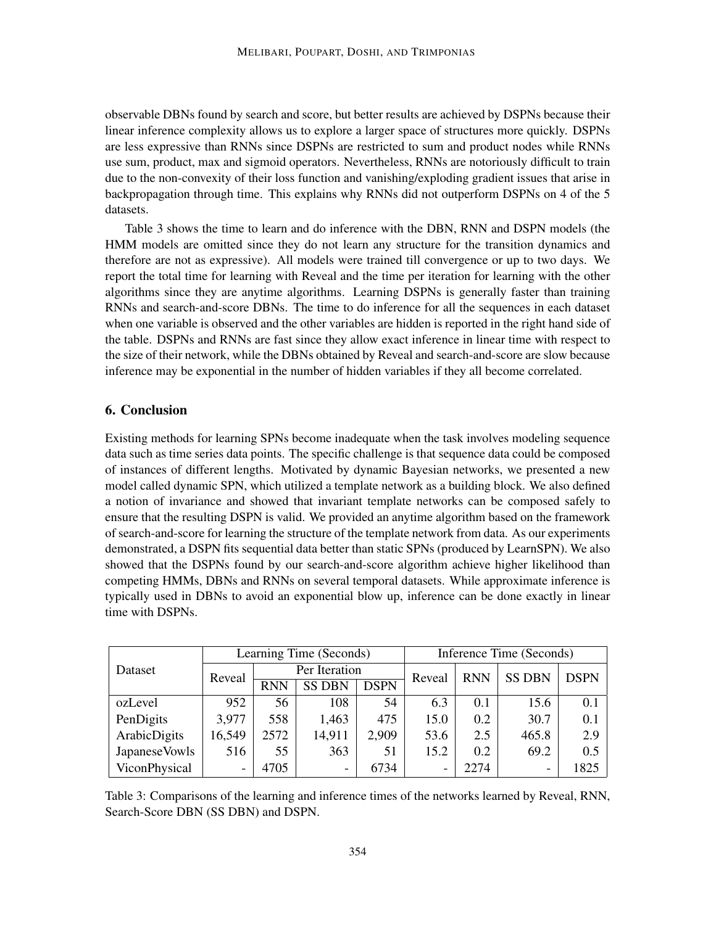observable DBNs found by search and score, but better results are achieved by DSPNs because their linear inference complexity allows us to explore a larger space of structures more quickly. DSPNs are less expressive than RNNs since DSPNs are restricted to sum and product nodes while RNNs use sum, product, max and sigmoid operators. Nevertheless, RNNs are notoriously difficult to train due to the non-convexity of their loss function and vanishing/exploding gradient issues that arise in backpropagation through time. This explains why RNNs did not outperform DSPNs on 4 of the 5 datasets.

Table 3 shows the time to learn and do inference with the DBN, RNN and DSPN models (the HMM models are omitted since they do not learn any structure for the transition dynamics and therefore are not as expressive). All models were trained till convergence or up to two days. We report the total time for learning with Reveal and the time per iteration for learning with the other algorithms since they are anytime algorithms. Learning DSPNs is generally faster than training RNNs and search-and-score DBNs. The time to do inference for all the sequences in each dataset when one variable is observed and the other variables are hidden is reported in the right hand side of the table. DSPNs and RNNs are fast since they allow exact inference in linear time with respect to the size of their network, while the DBNs obtained by Reveal and search-and-score are slow because inference may be exponential in the number of hidden variables if they all become correlated.

# 6. Conclusion

Existing methods for learning SPNs become inadequate when the task involves modeling sequence data such as time series data points. The specific challenge is that sequence data could be composed of instances of different lengths. Motivated by dynamic Bayesian networks, we presented a new model called dynamic SPN, which utilized a template network as a building block. We also defined a notion of invariance and showed that invariant template networks can be composed safely to ensure that the resulting DSPN is valid. We provided an anytime algorithm based on the framework of search-and-score for learning the structure of the template network from data. As our experiments demonstrated, a DSPN fits sequential data better than static SPNs (produced by LearnSPN). We also showed that the DSPNs found by our search-and-score algorithm achieve higher likelihood than competing HMMs, DBNs and RNNs on several temporal datasets. While approximate inference is typically used in DBNs to avoid an exponential blow up, inference can be done exactly in linear time with DSPNs.

|                | Learning Time (Seconds) |               |                          |             | Inference Time (Seconds) |            |                          |             |
|----------------|-------------------------|---------------|--------------------------|-------------|--------------------------|------------|--------------------------|-------------|
| Dataset        | Reveal                  | Per Iteration |                          |             | Reveal                   | <b>RNN</b> | <b>SS DBN</b>            | <b>DSPN</b> |
|                |                         | <b>RNN</b>    | <b>SS DBN</b>            | <b>DSPN</b> |                          |            |                          |             |
| ozLevel        | 952                     | 56            | 108                      | 54          | 6.3                      | 0.1        | 15.6                     | 0.1         |
| PenDigits      | 3,977                   | 558           | 1,463                    | 475         | 15.0                     | 0.2        | 30.7                     | 0.1         |
| ArabicDigits   | 16,549                  | 2572          | 14,911                   | 2,909       | 53.6                     | 2.5        | 465.8                    | 2.9         |
| Japanese Vowls | 516                     | 55            | 363                      | 51          | 15.2                     | 0.2        | 69.2                     | 0.5         |
| ViconPhysical  | -                       | 4705          | $\overline{\phantom{0}}$ | 6734        | $\overline{\phantom{a}}$ | 2274       | $\overline{\phantom{0}}$ | 1825        |

Table 3: Comparisons of the learning and inference times of the networks learned by Reveal, RNN, Search-Score DBN (SS DBN) and DSPN.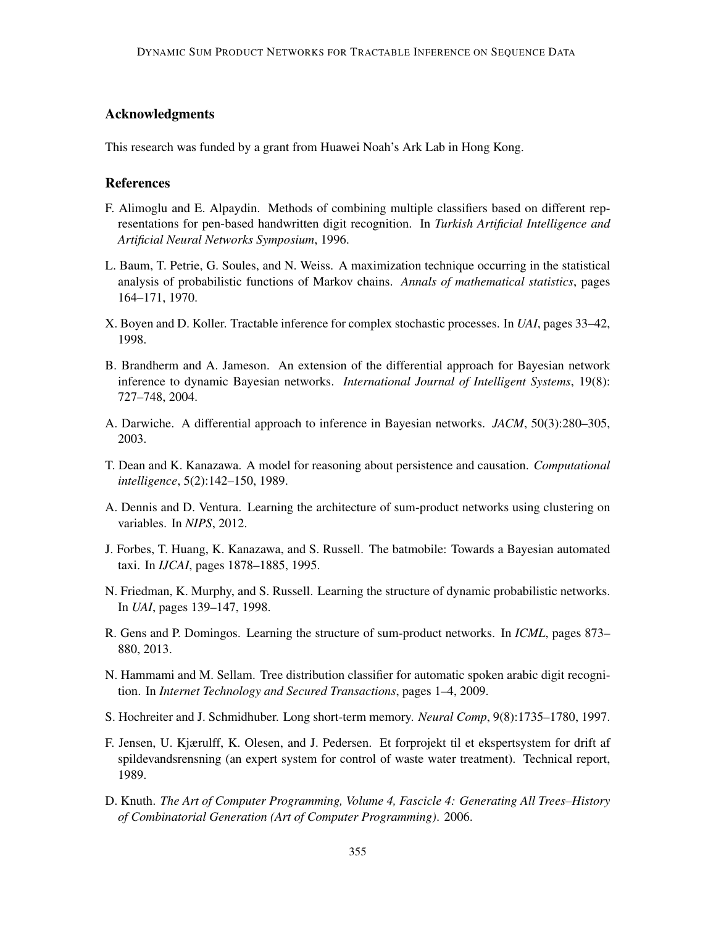# Acknowledgments

This research was funded by a grant from Huawei Noah's Ark Lab in Hong Kong.

### References

- F. Alimoglu and E. Alpaydin. Methods of combining multiple classifiers based on different representations for pen-based handwritten digit recognition. In *Turkish Artificial Intelligence and Artificial Neural Networks Symposium*, 1996.
- L. Baum, T. Petrie, G. Soules, and N. Weiss. A maximization technique occurring in the statistical analysis of probabilistic functions of Markov chains. *Annals of mathematical statistics*, pages 164–171, 1970.
- X. Boyen and D. Koller. Tractable inference for complex stochastic processes. In *UAI*, pages 33–42, 1998.
- B. Brandherm and A. Jameson. An extension of the differential approach for Bayesian network inference to dynamic Bayesian networks. *International Journal of Intelligent Systems*, 19(8): 727–748, 2004.
- A. Darwiche. A differential approach to inference in Bayesian networks. *JACM*, 50(3):280–305, 2003.
- T. Dean and K. Kanazawa. A model for reasoning about persistence and causation. *Computational intelligence*, 5(2):142–150, 1989.
- A. Dennis and D. Ventura. Learning the architecture of sum-product networks using clustering on variables. In *NIPS*, 2012.
- J. Forbes, T. Huang, K. Kanazawa, and S. Russell. The batmobile: Towards a Bayesian automated taxi. In *IJCAI*, pages 1878–1885, 1995.
- N. Friedman, K. Murphy, and S. Russell. Learning the structure of dynamic probabilistic networks. In *UAI*, pages 139–147, 1998.
- R. Gens and P. Domingos. Learning the structure of sum-product networks. In *ICML*, pages 873– 880, 2013.
- N. Hammami and M. Sellam. Tree distribution classifier for automatic spoken arabic digit recognition. In *Internet Technology and Secured Transactions*, pages 1–4, 2009.
- S. Hochreiter and J. Schmidhuber. Long short-term memory. *Neural Comp*, 9(8):1735–1780, 1997.
- F. Jensen, U. Kjærulff, K. Olesen, and J. Pedersen. Et forprojekt til et ekspertsystem for drift af spildevandsrensning (an expert system for control of waste water treatment). Technical report, 1989.
- D. Knuth. *The Art of Computer Programming, Volume 4, Fascicle 4: Generating All Trees–History of Combinatorial Generation (Art of Computer Programming)*. 2006.